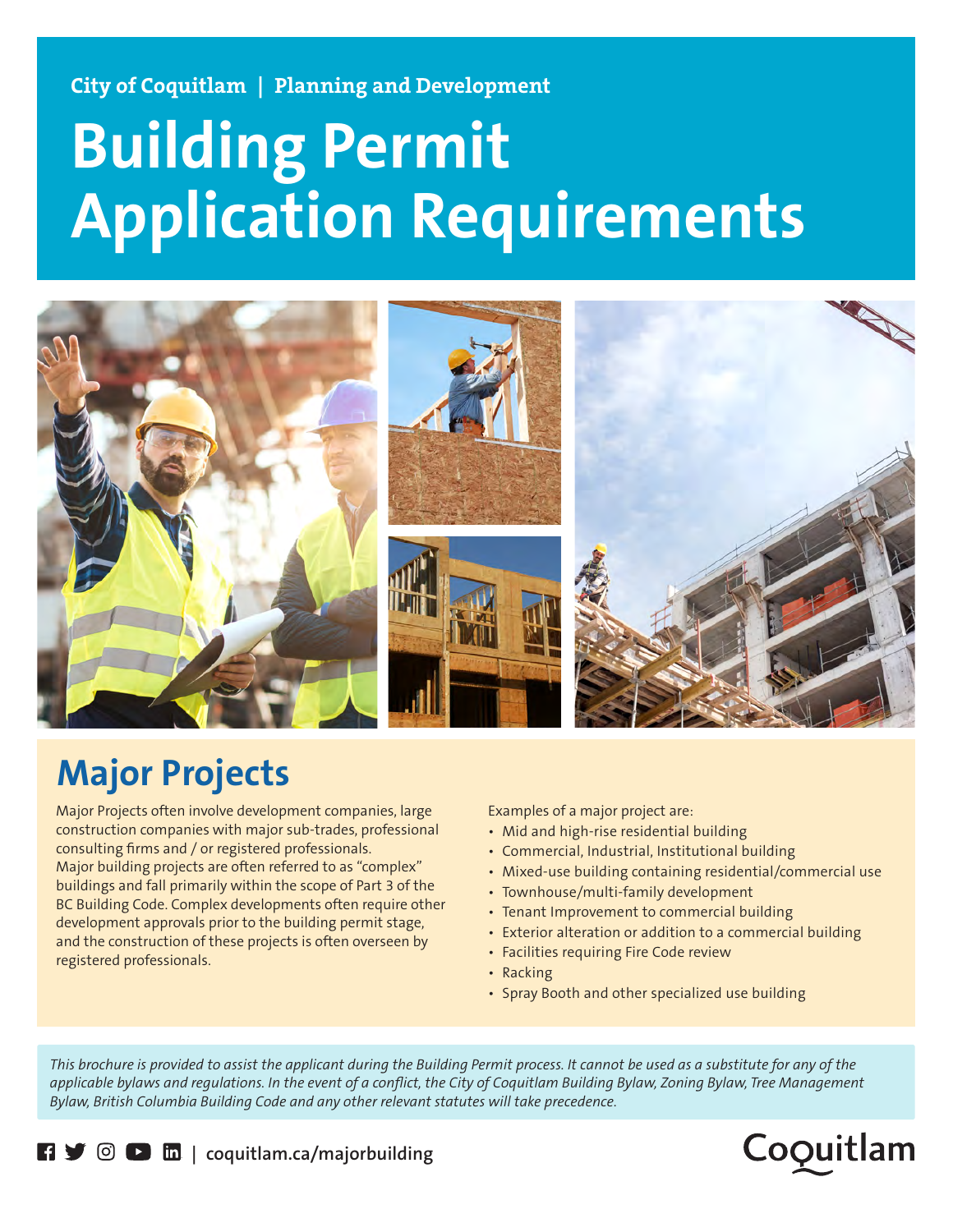**City of Coquitlam | Planning and Development**

# **Building Permit Application Requirements**



# **Major Projects**

Major Projects often involve development companies, large construction companies with major sub-trades, professional consulting firms and / or registered professionals. Major building projects are often referred to as "complex" buildings and fall primarily within the scope of Part 3 of the BC Building Code. Complex developments often require other development approvals prior to the building permit stage, and the construction of these projects is often overseen by registered professionals.

Examples of a major project are:

- Mid and high-rise residential building
- Commercial, Industrial, Institutional building
- Mixed-use building containing residential/commercial use
- Townhouse/multi-family development
- Tenant Improvement to commercial building
- Exterior alteration or addition to a commercial building
- Facilities requiring Fire Code review
- Racking
- Spray Booth and other specialized use building

*This brochure is provided to assist the applicant during the Building Permit process. It cannot be used as a substitute for any of the applicable bylaws and regulations. In the event of a conflict, the City of Coquitlam Building Bylaw, Zoning Bylaw, Tree Management Bylaw, British Columbia Building Code and any other relevant statutes will take precedence.*



**| coquitlam.ca/majorbuilding**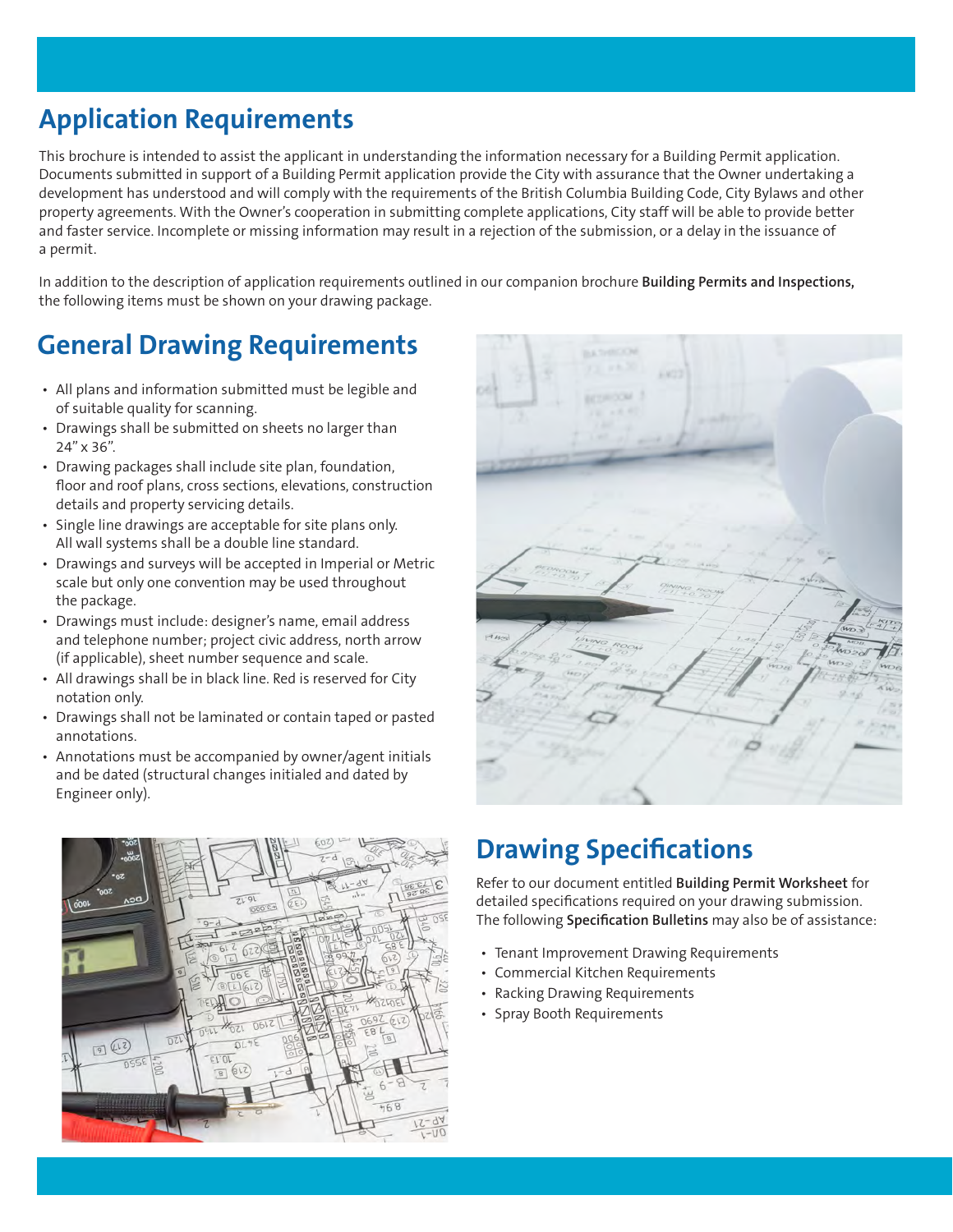# **Application Requirements**

This brochure is intended to assist the applicant in understanding the information necessary for a Building Permit application. Documents submitted in support of a Building Permit application provide the City with assurance that the Owner undertaking a development has understood and will comply with the requirements of the British Columbia Building Code, City Bylaws and other property agreements. With the Owner's cooperation in submitting complete applications, City staff will be able to provide better and faster service. Incomplete or missing information may result in a rejection of the submission, or a delay in the issuance of a permit.

In addition to the description of application requirements outlined in our companion brochure **Building Permits and Inspections,** the following items must be shown on your drawing package.

## **General Drawing Requirements**

- All plans and information submitted must be legible and of suitable quality for scanning.
- Drawings shall be submitted on sheets no larger than 24" x 36".
- Drawing packages shall include site plan, foundation, floor and roof plans, cross sections, elevations, construction details and property servicing details.
- Single line drawings are acceptable for site plans only. All wall systems shall be a double line standard.
- Drawings and surveys will be accepted in Imperial or Metric scale but only one convention may be used throughout the package.
- Drawings must include: designer's name, email address and telephone number; project civic address, north arrow (if applicable), sheet number sequence and scale.
- All drawings shall be in black line. Red is reserved for City notation only.
- Drawings shall not be laminated or contain taped or pasted annotations.
- Annotations must be accompanied by owner/agent initials and be dated (structural changes initialed and dated by Engineer only).



| <b>BASHROOM</b>                                       |                        |
|-------------------------------------------------------|------------------------|
| 13. PA.X<br>6.477<br>٠                                |                        |
| ×<br><b>TANCOM</b>                                    |                        |
| $1.1 - 1.$<br>n.<br><b>STATISTICS</b><br>۰<br>78<br>٠ |                        |
| 1.107<br>11000                                        |                        |
|                                                       |                        |
|                                                       |                        |
|                                                       |                        |
| of real<br><b>Kingdom</b>                             |                        |
| $(4.44 - 1)$<br>promoon<br>44.8<br>70<br>qinina       |                        |
| MINING ROOM<br>$\Rightarrow$                          |                        |
| WD3<br>743<br>UNNO                                    | $rac{1}{4}$            |
| C ROOM<br>$\circ$<br>10<br>HDE                        | woa                    |
| 4603                                                  | $\widehat{W}_{\geq 0}$ |
|                                                       | 20.9<br>m)             |
|                                                       | 5.00<br>x              |
|                                                       |                        |
|                                                       |                        |
|                                                       |                        |

# **Drawing Specifications**

Refer to our document entitled **Building Permit Worksheet** for detailed specifications required on your drawing submission. The following **Specification Bulletins** may also be of assistance:

- Tenant Improvement Drawing Requirements
- Commercial Kitchen Requirements
- Racking Drawing Requirements
- Spray Booth Requirements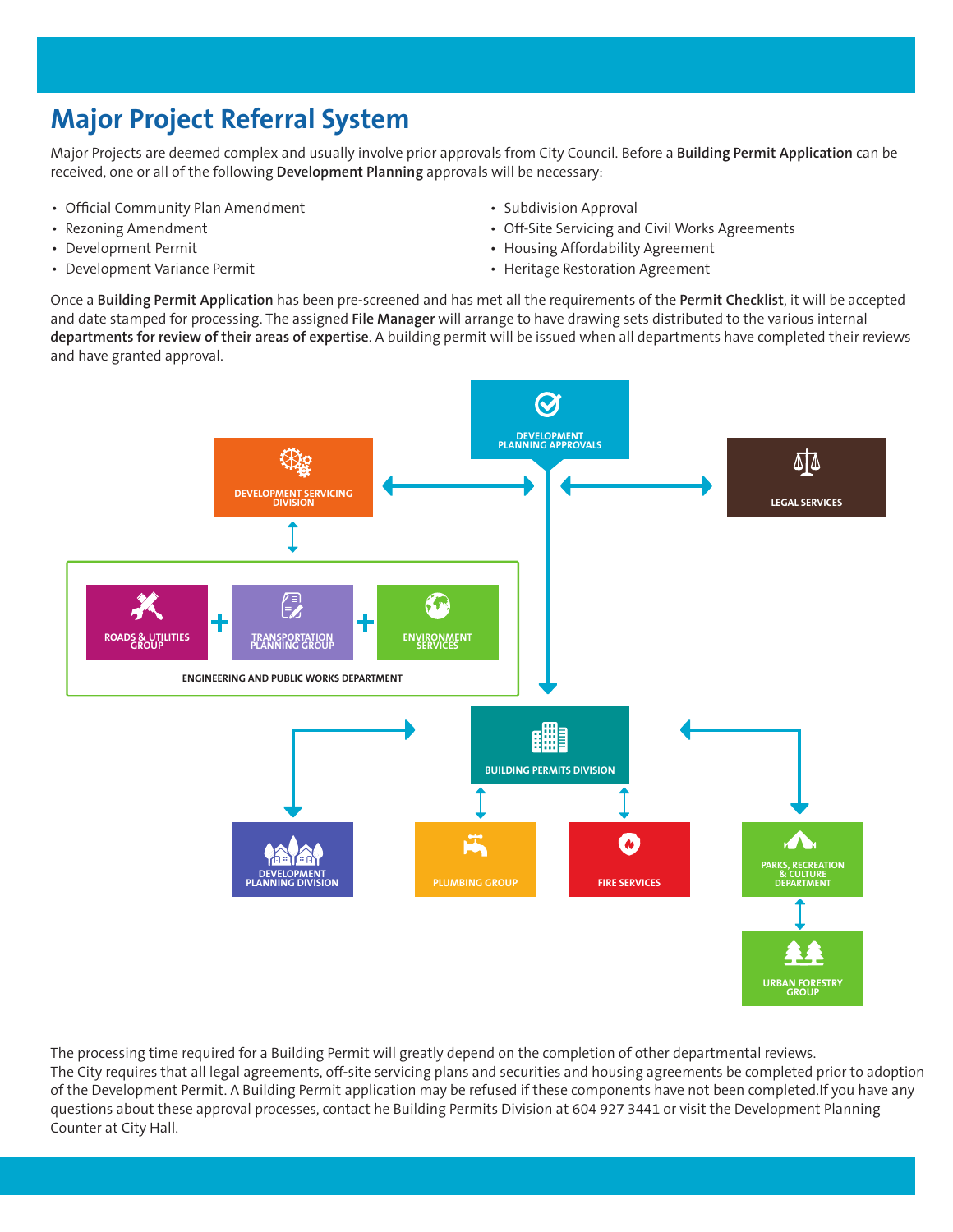# **Major Project Referral System**

Major Projects are deemed complex and usually involve prior approvals from City Council. Before a **Building Permit Application** can be received, one or all of the following **Development Planning** approvals will be necessary:

- Official Community Plan Amendment
- Rezoning Amendment
- Development Permit
- Development Variance Permit
- Subdivision Approval
- Off-Site Servicing and Civil Works Agreements
- Housing Affordability Agreement
- Heritage Restoration Agreement

Once a **Building Permit Application** has been pre-screened and has met all the requirements of the **Permit Checklist**, it will be accepted and date stamped for processing. The assigned **File Manager** will arrange to have drawing sets distributed to the various internal **departments for review of their areas of expertise**. A building permit will be issued when all departments have completed their reviews and have granted approval.



The processing time required for a Building Permit will greatly depend on the completion of other departmental reviews. The City requires that all legal agreements, off-site servicing plans and securities and housing agreements be completed prior to adoption of the Development Permit. A Building Permit application may be refused if these components have not been completed.If you have any questions about these approval processes, contact he Building Permits Division at 604 927 3441 or visit the Development Planning Counter at City Hall.